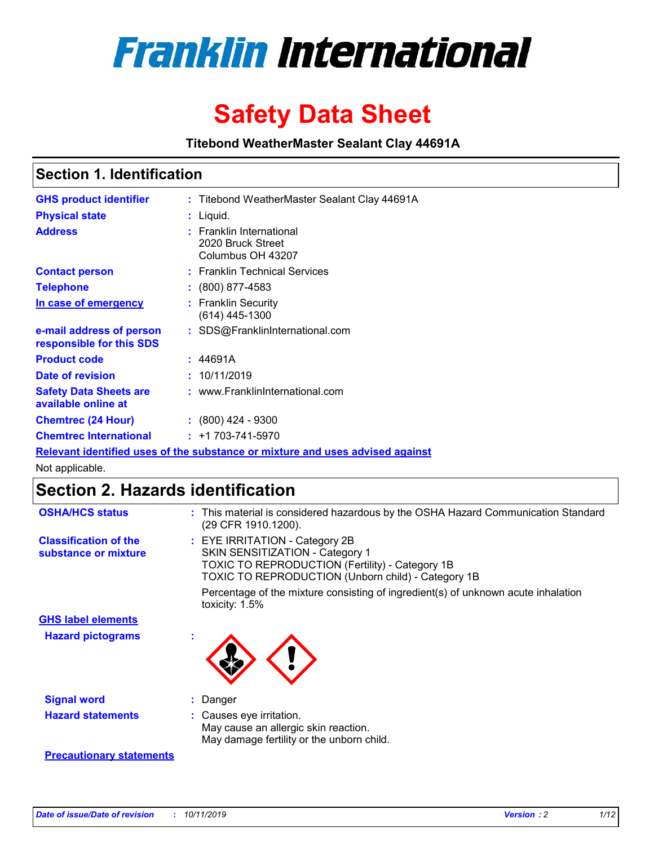

# **Safety Data Sheet**

**Titebond WeatherMaster Sealant Clay 44691A**

### **Section 1. Identification**

| <b>GHS product identifier</b>                        | : Titebond WeatherMaster Sealant Clay 44691A                                  |
|------------------------------------------------------|-------------------------------------------------------------------------------|
| <b>Physical state</b>                                | : Liquid.                                                                     |
| <b>Address</b>                                       | : Franklin International<br>2020 Bruck Street<br>Columbus OH 43207            |
| <b>Contact person</b>                                | : Franklin Technical Services                                                 |
| <b>Telephone</b>                                     | $\colon$ (800) 877-4583                                                       |
| In case of emergency                                 | : Franklin Security<br>(614) 445-1300                                         |
| e-mail address of person<br>responsible for this SDS | : SDS@FranklinInternational.com                                               |
| <b>Product code</b>                                  | : 44691A                                                                      |
| Date of revision                                     | : 10/11/2019                                                                  |
| <b>Safety Data Sheets are</b><br>available online at | : www.FranklinInternational.com                                               |
| <b>Chemtrec (24 Hour)</b>                            | $: (800)$ 424 - 9300                                                          |
| <b>Chemtrec International</b>                        | $: +1703 - 741 - 5970$                                                        |
|                                                      | Relevant identified uses of the substance or mixture and uses advised against |

Not applicable.

## **Section 2. Hazards identification**

| <b>OSHA/HCS status</b>                               | : This material is considered hazardous by the OSHA Hazard Communication Standard<br>(29 CFR 1910.1200).                                                                          |
|------------------------------------------------------|-----------------------------------------------------------------------------------------------------------------------------------------------------------------------------------|
| <b>Classification of the</b><br>substance or mixture | : EYE IRRITATION - Category 2B<br>SKIN SENSITIZATION - Category 1<br><b>TOXIC TO REPRODUCTION (Fertility) - Category 1B</b><br>TOXIC TO REPRODUCTION (Unborn child) - Category 1B |
|                                                      | Percentage of the mixture consisting of ingredient(s) of unknown acute inhalation<br>toxicity: $1.5\%$                                                                            |
| <b>GHS label elements</b>                            |                                                                                                                                                                                   |
| <b>Hazard pictograms</b>                             |                                                                                                                                                                                   |
| <b>Signal word</b>                                   | : Danger                                                                                                                                                                          |
| <b>Hazard statements</b>                             | : Causes eye irritation.<br>May cause an allergic skin reaction.<br>May damage fertility or the unborn child.                                                                     |
| <b>Precautionary statements</b>                      |                                                                                                                                                                                   |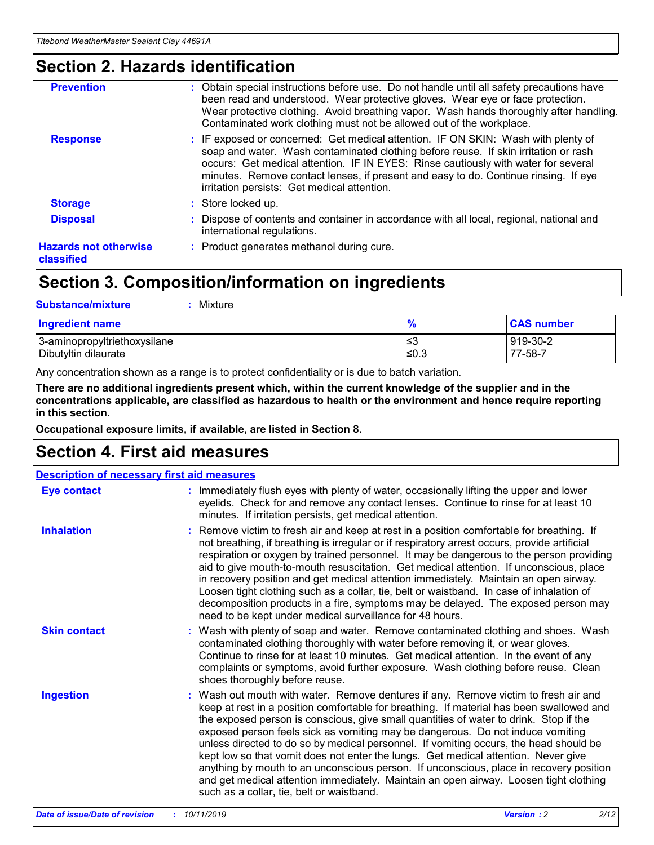### **Section 2. Hazards identification**

| <b>Prevention</b>                          | : Obtain special instructions before use. Do not handle until all safety precautions have<br>been read and understood. Wear protective gloves. Wear eye or face protection.<br>Wear protective clothing. Avoid breathing vapor. Wash hands thoroughly after handling.<br>Contaminated work clothing must not be allowed out of the workplace.                                                        |
|--------------------------------------------|------------------------------------------------------------------------------------------------------------------------------------------------------------------------------------------------------------------------------------------------------------------------------------------------------------------------------------------------------------------------------------------------------|
| <b>Response</b>                            | : IF exposed or concerned: Get medical attention. IF ON SKIN: Wash with plenty of<br>soap and water. Wash contaminated clothing before reuse. If skin irritation or rash<br>occurs: Get medical attention. IF IN EYES: Rinse cautiously with water for several<br>minutes. Remove contact lenses, if present and easy to do. Continue rinsing. If eye<br>irritation persists: Get medical attention. |
| <b>Storage</b>                             | : Store locked up.                                                                                                                                                                                                                                                                                                                                                                                   |
| <b>Disposal</b>                            | : Dispose of contents and container in accordance with all local, regional, national and<br>international regulations.                                                                                                                                                                                                                                                                               |
| <b>Hazards not otherwise</b><br>classified | : Product generates methanol during cure.                                                                                                                                                                                                                                                                                                                                                            |
|                                            |                                                                                                                                                                                                                                                                                                                                                                                                      |

### **Section 3. Composition/information on ingredients**

| <b>Substance/mixture</b><br>Mixture                  |                   |                     |
|------------------------------------------------------|-------------------|---------------------|
| <b>Ingredient name</b>                               | $\frac{9}{6}$     | <b>CAS number</b>   |
| 3-aminopropyltriethoxysilane<br>Dibutyltin dilaurate | l≤3<br>$\leq 0.3$ | 919-30-2<br>77-58-7 |

Any concentration shown as a range is to protect confidentiality or is due to batch variation.

**There are no additional ingredients present which, within the current knowledge of the supplier and in the concentrations applicable, are classified as hazardous to health or the environment and hence require reporting in this section.**

**Occupational exposure limits, if available, are listed in Section 8.**

### **Section 4. First aid measures**

| <b>Description of necessary first aid measures</b> |                                                                                                                                                                                                                                                                                                                                                                                                                                                                                                                                                                                                                                                                                                                                                                           |  |  |  |
|----------------------------------------------------|---------------------------------------------------------------------------------------------------------------------------------------------------------------------------------------------------------------------------------------------------------------------------------------------------------------------------------------------------------------------------------------------------------------------------------------------------------------------------------------------------------------------------------------------------------------------------------------------------------------------------------------------------------------------------------------------------------------------------------------------------------------------------|--|--|--|
| <b>Eye contact</b>                                 | : Immediately flush eyes with plenty of water, occasionally lifting the upper and lower<br>eyelids. Check for and remove any contact lenses. Continue to rinse for at least 10<br>minutes. If irritation persists, get medical attention.                                                                                                                                                                                                                                                                                                                                                                                                                                                                                                                                 |  |  |  |
| <b>Inhalation</b>                                  | : Remove victim to fresh air and keep at rest in a position comfortable for breathing. If<br>not breathing, if breathing is irregular or if respiratory arrest occurs, provide artificial<br>respiration or oxygen by trained personnel. It may be dangerous to the person providing<br>aid to give mouth-to-mouth resuscitation. Get medical attention. If unconscious, place<br>in recovery position and get medical attention immediately. Maintain an open airway.<br>Loosen tight clothing such as a collar, tie, belt or waistband. In case of inhalation of<br>decomposition products in a fire, symptoms may be delayed. The exposed person may<br>need to be kept under medical surveillance for 48 hours.                                                       |  |  |  |
| <b>Skin contact</b>                                | : Wash with plenty of soap and water. Remove contaminated clothing and shoes. Wash<br>contaminated clothing thoroughly with water before removing it, or wear gloves.<br>Continue to rinse for at least 10 minutes. Get medical attention. In the event of any<br>complaints or symptoms, avoid further exposure. Wash clothing before reuse. Clean<br>shoes thoroughly before reuse.                                                                                                                                                                                                                                                                                                                                                                                     |  |  |  |
| <b>Ingestion</b>                                   | : Wash out mouth with water. Remove dentures if any. Remove victim to fresh air and<br>keep at rest in a position comfortable for breathing. If material has been swallowed and<br>the exposed person is conscious, give small quantities of water to drink. Stop if the<br>exposed person feels sick as vomiting may be dangerous. Do not induce vomiting<br>unless directed to do so by medical personnel. If vomiting occurs, the head should be<br>kept low so that vomit does not enter the lungs. Get medical attention. Never give<br>anything by mouth to an unconscious person. If unconscious, place in recovery position<br>and get medical attention immediately. Maintain an open airway. Loosen tight clothing<br>such as a collar, tie, belt or waistband. |  |  |  |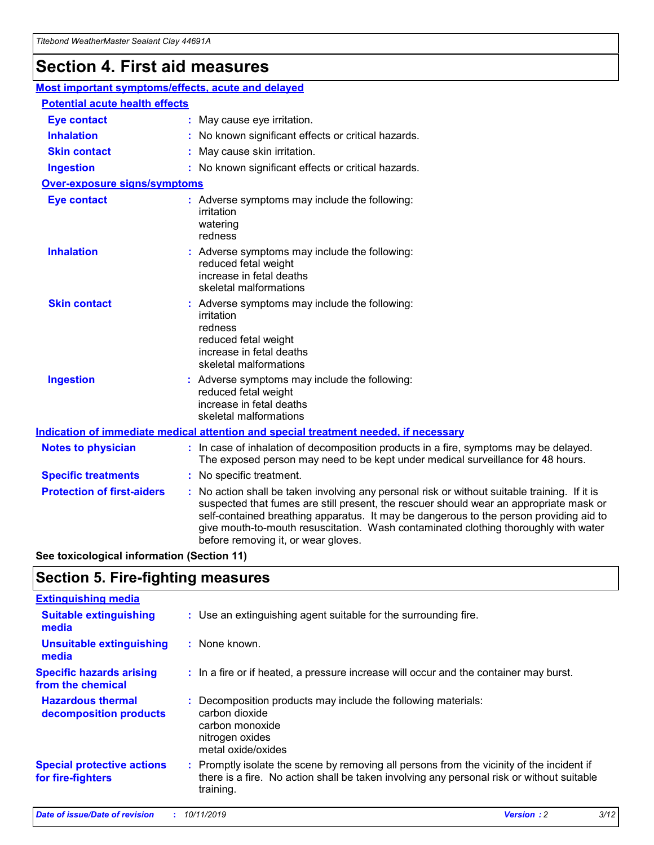## **Section 4. First aid measures**

| Most important symptoms/effects, acute and delayed |                                       |                                                                                                                                                                                                                                                                                                                                                                                                                 |  |  |  |
|----------------------------------------------------|---------------------------------------|-----------------------------------------------------------------------------------------------------------------------------------------------------------------------------------------------------------------------------------------------------------------------------------------------------------------------------------------------------------------------------------------------------------------|--|--|--|
|                                                    | <b>Potential acute health effects</b> |                                                                                                                                                                                                                                                                                                                                                                                                                 |  |  |  |
| <b>Eye contact</b>                                 |                                       | : May cause eye irritation.                                                                                                                                                                                                                                                                                                                                                                                     |  |  |  |
| <b>Inhalation</b>                                  |                                       | : No known significant effects or critical hazards.                                                                                                                                                                                                                                                                                                                                                             |  |  |  |
| <b>Skin contact</b>                                |                                       | : May cause skin irritation.                                                                                                                                                                                                                                                                                                                                                                                    |  |  |  |
| <b>Ingestion</b>                                   |                                       | : No known significant effects or critical hazards.                                                                                                                                                                                                                                                                                                                                                             |  |  |  |
| <b>Over-exposure signs/symptoms</b>                |                                       |                                                                                                                                                                                                                                                                                                                                                                                                                 |  |  |  |
| <b>Eye contact</b>                                 |                                       | : Adverse symptoms may include the following:<br>irritation<br>watering<br>redness                                                                                                                                                                                                                                                                                                                              |  |  |  |
| <b>Inhalation</b>                                  |                                       | : Adverse symptoms may include the following:<br>reduced fetal weight<br>increase in fetal deaths<br>skeletal malformations                                                                                                                                                                                                                                                                                     |  |  |  |
| <b>Skin contact</b>                                |                                       | : Adverse symptoms may include the following:<br>irritation<br>redness<br>reduced fetal weight<br>increase in fetal deaths<br>skeletal malformations                                                                                                                                                                                                                                                            |  |  |  |
| <b>Ingestion</b>                                   |                                       | : Adverse symptoms may include the following:<br>reduced fetal weight<br>increase in fetal deaths<br>skeletal malformations                                                                                                                                                                                                                                                                                     |  |  |  |
|                                                    |                                       | <b>Indication of immediate medical attention and special treatment needed, if necessary</b>                                                                                                                                                                                                                                                                                                                     |  |  |  |
| <b>Notes to physician</b>                          |                                       | : In case of inhalation of decomposition products in a fire, symptoms may be delayed.<br>The exposed person may need to be kept under medical surveillance for 48 hours.                                                                                                                                                                                                                                        |  |  |  |
| <b>Specific treatments</b>                         |                                       | : No specific treatment.                                                                                                                                                                                                                                                                                                                                                                                        |  |  |  |
| <b>Protection of first-aiders</b>                  |                                       | : No action shall be taken involving any personal risk or without suitable training. If it is<br>suspected that fumes are still present, the rescuer should wear an appropriate mask or<br>self-contained breathing apparatus. It may be dangerous to the person providing aid to<br>give mouth-to-mouth resuscitation. Wash contaminated clothing thoroughly with water<br>before removing it, or wear gloves. |  |  |  |

**See toxicological information (Section 11)**

### **Section 5. Fire-fighting measures**

| <b>Extinguishing media</b>                             |                                                                                                                                                                                                     |
|--------------------------------------------------------|-----------------------------------------------------------------------------------------------------------------------------------------------------------------------------------------------------|
| <b>Suitable extinguishing</b><br>media                 | : Use an extinguishing agent suitable for the surrounding fire.                                                                                                                                     |
| <b>Unsuitable extinguishing</b><br>media               | $:$ None known.                                                                                                                                                                                     |
| <b>Specific hazards arising</b><br>from the chemical   | : In a fire or if heated, a pressure increase will occur and the container may burst.                                                                                                               |
| <b>Hazardous thermal</b><br>decomposition products     | : Decomposition products may include the following materials:<br>carbon dioxide<br>carbon monoxide<br>nitrogen oxides<br>metal oxide/oxides                                                         |
| <b>Special protective actions</b><br>for fire-fighters | : Promptly isolate the scene by removing all persons from the vicinity of the incident if<br>there is a fire. No action shall be taken involving any personal risk or without suitable<br>training. |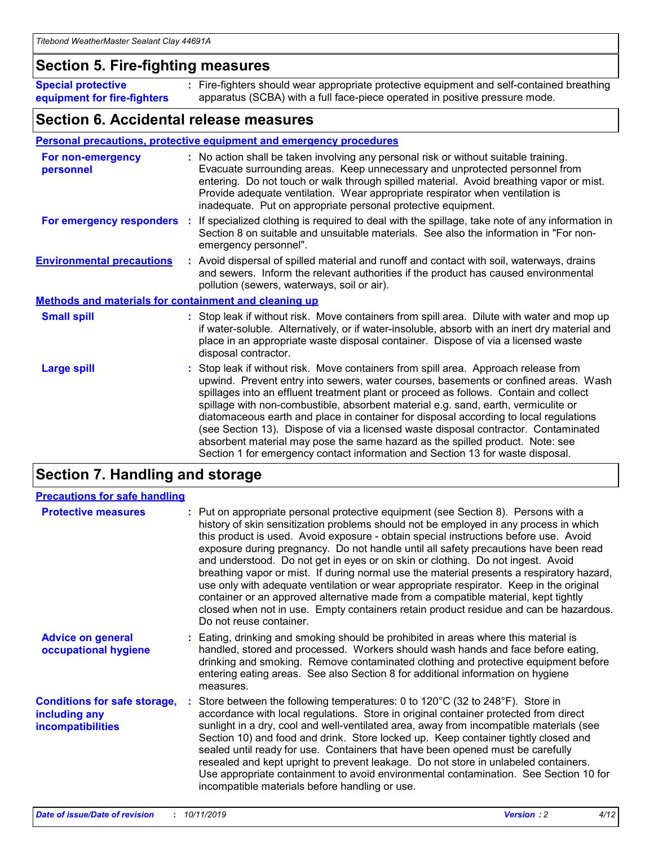### **Section 5. Fire-fighting measures**

**Special protective equipment for fire-fighters** Fire-fighters should wear appropriate protective equipment and self-contained breathing **:** apparatus (SCBA) with a full face-piece operated in positive pressure mode.

### **Section 6. Accidental release measures**

#### **Personal precautions, protective equipment and emergency procedures**

| For non-emergency<br>personnel                               | : No action shall be taken involving any personal risk or without suitable training.<br>Evacuate surrounding areas. Keep unnecessary and unprotected personnel from<br>entering. Do not touch or walk through spilled material. Avoid breathing vapor or mist.<br>Provide adequate ventilation. Wear appropriate respirator when ventilation is<br>inadequate. Put on appropriate personal protective equipment.                                                                                                                                                                                                                                                                                             |
|--------------------------------------------------------------|--------------------------------------------------------------------------------------------------------------------------------------------------------------------------------------------------------------------------------------------------------------------------------------------------------------------------------------------------------------------------------------------------------------------------------------------------------------------------------------------------------------------------------------------------------------------------------------------------------------------------------------------------------------------------------------------------------------|
|                                                              | For emergency responders : If specialized clothing is required to deal with the spillage, take note of any information in<br>Section 8 on suitable and unsuitable materials. See also the information in "For non-<br>emergency personnel".                                                                                                                                                                                                                                                                                                                                                                                                                                                                  |
| <b>Environmental precautions</b>                             | : Avoid dispersal of spilled material and runoff and contact with soil, waterways, drains<br>and sewers. Inform the relevant authorities if the product has caused environmental<br>pollution (sewers, waterways, soil or air).                                                                                                                                                                                                                                                                                                                                                                                                                                                                              |
| <b>Methods and materials for containment and cleaning up</b> |                                                                                                                                                                                                                                                                                                                                                                                                                                                                                                                                                                                                                                                                                                              |
| <b>Small spill</b>                                           | : Stop leak if without risk. Move containers from spill area. Dilute with water and mop up<br>if water-soluble. Alternatively, or if water-insoluble, absorb with an inert dry material and<br>place in an appropriate waste disposal container. Dispose of via a licensed waste<br>disposal contractor.                                                                                                                                                                                                                                                                                                                                                                                                     |
| <b>Large spill</b>                                           | : Stop leak if without risk. Move containers from spill area. Approach release from<br>upwind. Prevent entry into sewers, water courses, basements or confined areas. Wash<br>spillages into an effluent treatment plant or proceed as follows. Contain and collect<br>spillage with non-combustible, absorbent material e.g. sand, earth, vermiculite or<br>diatomaceous earth and place in container for disposal according to local regulations<br>(see Section 13). Dispose of via a licensed waste disposal contractor. Contaminated<br>absorbent material may pose the same hazard as the spilled product. Note: see<br>Section 1 for emergency contact information and Section 13 for waste disposal. |

### **Section 7. Handling and storage**

| <b>Precautions for safe handling</b>                                             |                                                                                                                                                                                                                                                                                                                                                                                                                                                                                                                                                                                                                                                                                                                                                                                                                                                  |
|----------------------------------------------------------------------------------|--------------------------------------------------------------------------------------------------------------------------------------------------------------------------------------------------------------------------------------------------------------------------------------------------------------------------------------------------------------------------------------------------------------------------------------------------------------------------------------------------------------------------------------------------------------------------------------------------------------------------------------------------------------------------------------------------------------------------------------------------------------------------------------------------------------------------------------------------|
| <b>Protective measures</b>                                                       | : Put on appropriate personal protective equipment (see Section 8). Persons with a<br>history of skin sensitization problems should not be employed in any process in which<br>this product is used. Avoid exposure - obtain special instructions before use. Avoid<br>exposure during pregnancy. Do not handle until all safety precautions have been read<br>and understood. Do not get in eyes or on skin or clothing. Do not ingest. Avoid<br>breathing vapor or mist. If during normal use the material presents a respiratory hazard,<br>use only with adequate ventilation or wear appropriate respirator. Keep in the original<br>container or an approved alternative made from a compatible material, kept tightly<br>closed when not in use. Empty containers retain product residue and can be hazardous.<br>Do not reuse container. |
| <b>Advice on general</b><br>occupational hygiene                                 | : Eating, drinking and smoking should be prohibited in areas where this material is<br>handled, stored and processed. Workers should wash hands and face before eating,<br>drinking and smoking. Remove contaminated clothing and protective equipment before<br>entering eating areas. See also Section 8 for additional information on hygiene<br>measures.                                                                                                                                                                                                                                                                                                                                                                                                                                                                                    |
| <b>Conditions for safe storage,</b><br>including any<br><b>incompatibilities</b> | Store between the following temperatures: 0 to 120°C (32 to 248°F). Store in<br>accordance with local regulations. Store in original container protected from direct<br>sunlight in a dry, cool and well-ventilated area, away from incompatible materials (see<br>Section 10) and food and drink. Store locked up. Keep container tightly closed and<br>sealed until ready for use. Containers that have been opened must be carefully<br>resealed and kept upright to prevent leakage. Do not store in unlabeled containers.<br>Use appropriate containment to avoid environmental contamination. See Section 10 for<br>incompatible materials before handling or use.                                                                                                                                                                         |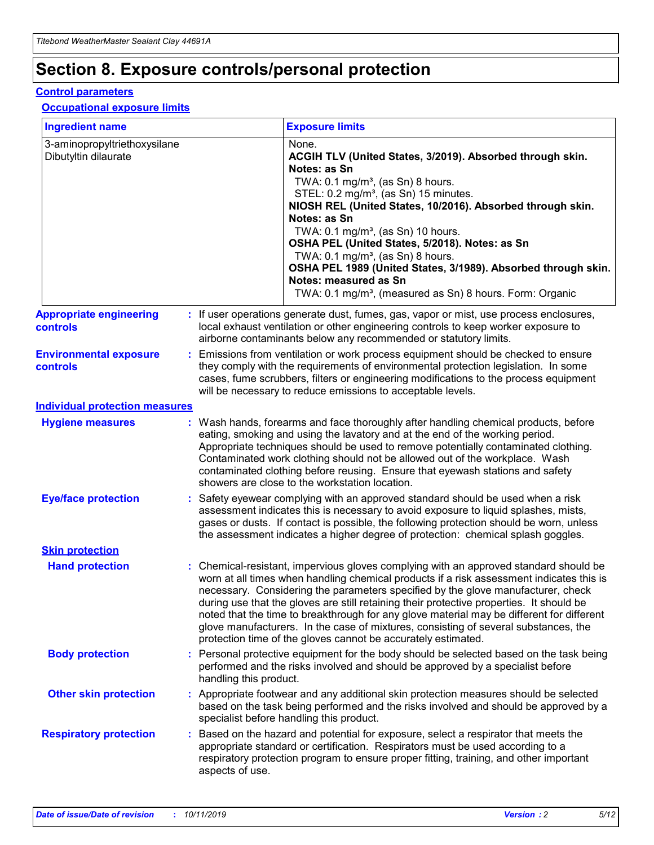## **Section 8. Exposure controls/personal protection**

#### **Control parameters**

#### **Occupational exposure limits**

| <b>Ingredient name</b>                               |    |                        | <b>Exposure limits</b>                                                                                                                                                                                                                                                                                                                                                                                                                                                                                                                                                                                                 |
|------------------------------------------------------|----|------------------------|------------------------------------------------------------------------------------------------------------------------------------------------------------------------------------------------------------------------------------------------------------------------------------------------------------------------------------------------------------------------------------------------------------------------------------------------------------------------------------------------------------------------------------------------------------------------------------------------------------------------|
| 3-aminopropyltriethoxysilane<br>Dibutyltin dilaurate |    |                        | None.<br>ACGIH TLV (United States, 3/2019). Absorbed through skin.<br>Notes: as Sn<br>TWA: $0.1 \text{ mg/m}^3$ , (as Sn) 8 hours.<br>STEL: 0.2 mg/m <sup>3</sup> , (as Sn) 15 minutes.<br>NIOSH REL (United States, 10/2016). Absorbed through skin.<br>Notes: as Sn<br>TWA: 0.1 mg/m <sup>3</sup> , (as Sn) 10 hours.<br>OSHA PEL (United States, 5/2018). Notes: as Sn<br>TWA: $0.1 \text{ mg/m}^3$ , (as Sn) 8 hours.<br>OSHA PEL 1989 (United States, 3/1989). Absorbed through skin.<br>Notes: measured as Sn<br>TWA: 0.1 mg/m <sup>3</sup> , (measured as Sn) 8 hours. Form: Organic                            |
| <b>Appropriate engineering</b><br>controls           |    |                        | : If user operations generate dust, fumes, gas, vapor or mist, use process enclosures,<br>local exhaust ventilation or other engineering controls to keep worker exposure to<br>airborne contaminants below any recommended or statutory limits.                                                                                                                                                                                                                                                                                                                                                                       |
| <b>Environmental exposure</b><br>controls            |    |                        | Emissions from ventilation or work process equipment should be checked to ensure<br>they comply with the requirements of environmental protection legislation. In some<br>cases, fume scrubbers, filters or engineering modifications to the process equipment<br>will be necessary to reduce emissions to acceptable levels.                                                                                                                                                                                                                                                                                          |
| <b>Individual protection measures</b>                |    |                        |                                                                                                                                                                                                                                                                                                                                                                                                                                                                                                                                                                                                                        |
| <b>Hygiene measures</b>                              |    |                        | : Wash hands, forearms and face thoroughly after handling chemical products, before<br>eating, smoking and using the lavatory and at the end of the working period.<br>Appropriate techniques should be used to remove potentially contaminated clothing.<br>Contaminated work clothing should not be allowed out of the workplace. Wash<br>contaminated clothing before reusing. Ensure that eyewash stations and safety<br>showers are close to the workstation location.                                                                                                                                            |
| <b>Eye/face protection</b>                           |    |                        | : Safety eyewear complying with an approved standard should be used when a risk<br>assessment indicates this is necessary to avoid exposure to liquid splashes, mists,<br>gases or dusts. If contact is possible, the following protection should be worn, unless<br>the assessment indicates a higher degree of protection: chemical splash goggles.                                                                                                                                                                                                                                                                  |
| <b>Skin protection</b>                               |    |                        |                                                                                                                                                                                                                                                                                                                                                                                                                                                                                                                                                                                                                        |
| <b>Hand protection</b>                               |    |                        | : Chemical-resistant, impervious gloves complying with an approved standard should be<br>worn at all times when handling chemical products if a risk assessment indicates this is<br>necessary. Considering the parameters specified by the glove manufacturer, check<br>during use that the gloves are still retaining their protective properties. It should be<br>noted that the time to breakthrough for any glove material may be different for different<br>glove manufacturers. In the case of mixtures, consisting of several substances, the<br>protection time of the gloves cannot be accurately estimated. |
| <b>Body protection</b>                               |    | handling this product. | Personal protective equipment for the body should be selected based on the task being<br>performed and the risks involved and should be approved by a specialist before                                                                                                                                                                                                                                                                                                                                                                                                                                                |
| <b>Other skin protection</b>                         |    |                        | : Appropriate footwear and any additional skin protection measures should be selected<br>based on the task being performed and the risks involved and should be approved by a<br>specialist before handling this product.                                                                                                                                                                                                                                                                                                                                                                                              |
| <b>Respiratory protection</b>                        | ÷. | aspects of use.        | Based on the hazard and potential for exposure, select a respirator that meets the<br>appropriate standard or certification. Respirators must be used according to a<br>respiratory protection program to ensure proper fitting, training, and other important                                                                                                                                                                                                                                                                                                                                                         |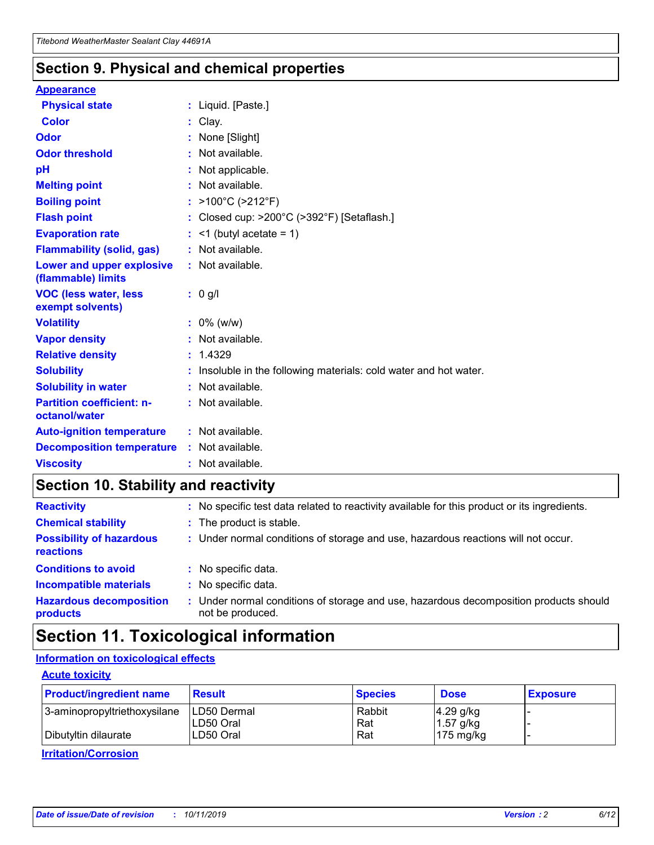### **Section 9. Physical and chemical properties**

#### **Appearance**

| <b>Physical state</b>                             | : Liquid. [Paste.]                                              |
|---------------------------------------------------|-----------------------------------------------------------------|
| Color                                             | Clay.                                                           |
| Odor                                              | : None [Slight]                                                 |
| <b>Odor threshold</b>                             | : Not available.                                                |
| рH                                                | : Not applicable.                                               |
| <b>Melting point</b>                              | : Not available.                                                |
| <b>Boiling point</b>                              | : >100°C (>212°F)                                               |
| <b>Flash point</b>                                | : Closed cup: >200°C (>392°F) [Setaflash.]                      |
| <b>Evaporation rate</b>                           | $:$ <1 (butyl acetate = 1)                                      |
| <b>Flammability (solid, gas)</b>                  | : Not available.                                                |
| Lower and upper explosive<br>(flammable) limits   | : Not available.                                                |
| <b>VOC (less water, less</b><br>exempt solvents)  | : 0 g/l                                                         |
| <b>Volatility</b>                                 | $: 0\%$ (w/w)                                                   |
| <b>Vapor density</b>                              | : Not available.                                                |
| <b>Relative density</b>                           | : 1.4329                                                        |
| <b>Solubility</b>                                 | Insoluble in the following materials: cold water and hot water. |
| <b>Solubility in water</b>                        | : Not available.                                                |
| <b>Partition coefficient: n-</b><br>octanol/water | $:$ Not available.                                              |
| <b>Auto-ignition temperature</b>                  | : Not available.                                                |
| <b>Decomposition temperature</b>                  | : Not available.                                                |
| <b>Viscosity</b>                                  |                                                                 |

### **Section 10. Stability and reactivity**

| <b>Reactivity</b>                            |    | : No specific test data related to reactivity available for this product or its ingredients.            |
|----------------------------------------------|----|---------------------------------------------------------------------------------------------------------|
| <b>Chemical stability</b>                    |    | : The product is stable.                                                                                |
| <b>Possibility of hazardous</b><br>reactions |    | : Under normal conditions of storage and use, hazardous reactions will not occur.                       |
| <b>Conditions to avoid</b>                   |    | : No specific data.                                                                                     |
| <b>Incompatible materials</b>                | ٠. | No specific data.                                                                                       |
| <b>Hazardous decomposition</b><br>products   | ÷. | Under normal conditions of storage and use, hazardous decomposition products should<br>not be produced. |

### **Section 11. Toxicological information**

### **Information on toxicological effects**

#### **Acute toxicity**

| <b>Product/ingredient name</b> | <b>Result</b>           | <b>Species</b> | <b>Dose</b>                | <b>Exposure</b> |
|--------------------------------|-------------------------|----------------|----------------------------|-----------------|
| 3-aminopropyltriethoxysilane   | <b>ILD50 Dermal</b>     | Rabbit         | 4.29 g/kg                  |                 |
| Dibutyltin dilaurate           | ILD50 Oral<br>LD50 Oral | Rat<br>Rat     | $1.57$ g/kg<br>175 $mg/kg$ |                 |
|                                |                         |                |                            |                 |

**Irritation/Corrosion**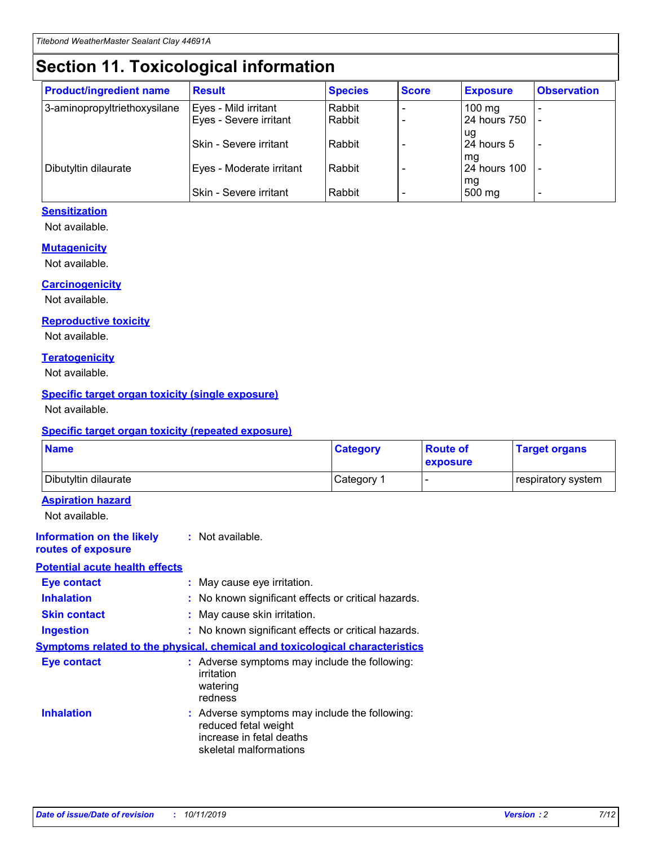## **Section 11. Toxicological information**

| <b>Product/ingredient name</b> | <b>Result</b>            | <b>Species</b> | <b>Score</b> | <b>Exposure</b>    | <b>Observation</b> |
|--------------------------------|--------------------------|----------------|--------------|--------------------|--------------------|
| 3-aminopropyltriethoxysilane   | Eyes - Mild irritant     | Rabbit         |              | $100$ mg           |                    |
|                                | Eyes - Severe irritant   | Rabbit         |              | 24 hours 750       |                    |
|                                |                          |                |              | ug                 |                    |
|                                | Skin - Severe irritant   | Rabbit         |              | 24 hours 5         | -                  |
| Dibutyltin dilaurate           | Eyes - Moderate irritant | Rabbit         |              | mg<br>24 hours 100 |                    |
|                                |                          |                |              | mg                 |                    |
|                                | Skin - Severe irritant   | Rabbit         |              | 500 mg             | -                  |

#### **Sensitization**

Not available.

#### **Mutagenicity**

Not available.

#### **Carcinogenicity**

Not available.

#### **Reproductive toxicity**

Not available.

#### **Teratogenicity**

Not available.

#### **Specific target organ toxicity (single exposure)**

Not available.

#### **Specific target organ toxicity (repeated exposure)**

| <b>Name</b>                                                                  |                                                                                                                             | <b>Category</b> | <b>Route of</b><br>exposure  | <b>Target organs</b> |
|------------------------------------------------------------------------------|-----------------------------------------------------------------------------------------------------------------------------|-----------------|------------------------------|----------------------|
| Dibutyltin dilaurate                                                         |                                                                                                                             | Category 1      | $\qquad \qquad \blacksquare$ | respiratory system   |
| <b>Aspiration hazard</b><br>Not available.                                   |                                                                                                                             |                 |                              |                      |
| <b>Information on the likely</b><br>routes of exposure                       | : Not available.                                                                                                            |                 |                              |                      |
| <b>Potential acute health effects</b>                                        |                                                                                                                             |                 |                              |                      |
| <b>Eye contact</b>                                                           | : May cause eye irritation.                                                                                                 |                 |                              |                      |
| <b>Inhalation</b>                                                            | : No known significant effects or critical hazards.                                                                         |                 |                              |                      |
| <b>Skin contact</b>                                                          | : May cause skin irritation.                                                                                                |                 |                              |                      |
| <b>Ingestion</b>                                                             | : No known significant effects or critical hazards.                                                                         |                 |                              |                      |
| Symptoms related to the physical, chemical and toxicological characteristics |                                                                                                                             |                 |                              |                      |
| <b>Eye contact</b>                                                           | : Adverse symptoms may include the following:<br>irritation<br>watering<br>redness                                          |                 |                              |                      |
| <b>Inhalation</b>                                                            | : Adverse symptoms may include the following:<br>reduced fetal weight<br>increase in fetal deaths<br>skeletal malformations |                 |                              |                      |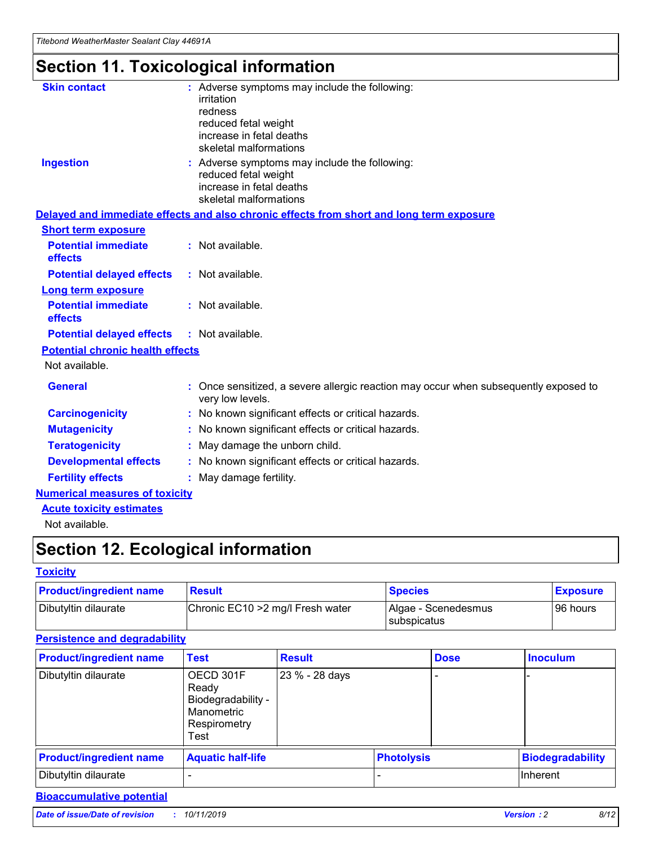## **Section 11. Toxicological information**

| <b>Skin contact</b>                     | : Adverse symptoms may include the following:<br>irritation<br>redness<br>reduced fetal weight<br>increase in fetal deaths<br>skeletal malformations |
|-----------------------------------------|------------------------------------------------------------------------------------------------------------------------------------------------------|
| <b>Ingestion</b>                        | : Adverse symptoms may include the following:<br>reduced fetal weight<br>increase in fetal deaths<br>skeletal malformations                          |
|                                         | Delayed and immediate effects and also chronic effects from short and long term exposure                                                             |
| <b>Short term exposure</b>              |                                                                                                                                                      |
| <b>Potential immediate</b><br>effects   | : Not available.                                                                                                                                     |
| <b>Potential delayed effects</b>        | : Not available.                                                                                                                                     |
| <b>Long term exposure</b>               |                                                                                                                                                      |
| <b>Potential immediate</b><br>effects   | : Not available.                                                                                                                                     |
| <b>Potential delayed effects</b>        | : Not available.                                                                                                                                     |
| <b>Potential chronic health effects</b> |                                                                                                                                                      |
| Not available.                          |                                                                                                                                                      |
| <b>General</b>                          | : Once sensitized, a severe allergic reaction may occur when subsequently exposed to<br>very low levels.                                             |
| <b>Carcinogenicity</b>                  | : No known significant effects or critical hazards.                                                                                                  |
| <b>Mutagenicity</b>                     | No known significant effects or critical hazards.                                                                                                    |
| <b>Teratogenicity</b>                   | May damage the unborn child.                                                                                                                         |
| <b>Developmental effects</b>            | No known significant effects or critical hazards.                                                                                                    |
| <b>Fertility effects</b>                | : May damage fertility.                                                                                                                              |
| <b>Numerical measures of toxicity</b>   |                                                                                                                                                      |
| <b>Acute toxicity estimates</b>         |                                                                                                                                                      |
|                                         |                                                                                                                                                      |

Not available.

## **Section 12. Ecological information**

#### **Toxicity**

| <b>Product/ingredient name</b> | <b>Result</b>                     | <b>Species</b>                       | <b>Exposure</b> |
|--------------------------------|-----------------------------------|--------------------------------------|-----------------|
| Dibutyltin dilaurate           | Chronic EC10 > 2 mg/l Fresh water | Algae - Scenedesmus<br>I subspicatus | l 96 hours      |

### **Persistence and degradability**

| <b>Product/ingredient name</b> | <b>Test</b>                                                                    | <b>Result</b>  |                   | <b>Dose</b> | <b>Inoculum</b>         |
|--------------------------------|--------------------------------------------------------------------------------|----------------|-------------------|-------------|-------------------------|
| Dibutyltin dilaurate           | OECD 301F<br>Ready<br>Biodegradability -<br>Manometric<br>Respirometry<br>Test | 23 % - 28 days |                   |             |                         |
| <b>Product/ingredient name</b> | <b>Aquatic half-life</b>                                                       |                | <b>Photolysis</b> |             | <b>Biodegradability</b> |
| Dibutyltin dilaurate           |                                                                                |                |                   |             | Inherent                |

### **Bioaccumulative potential**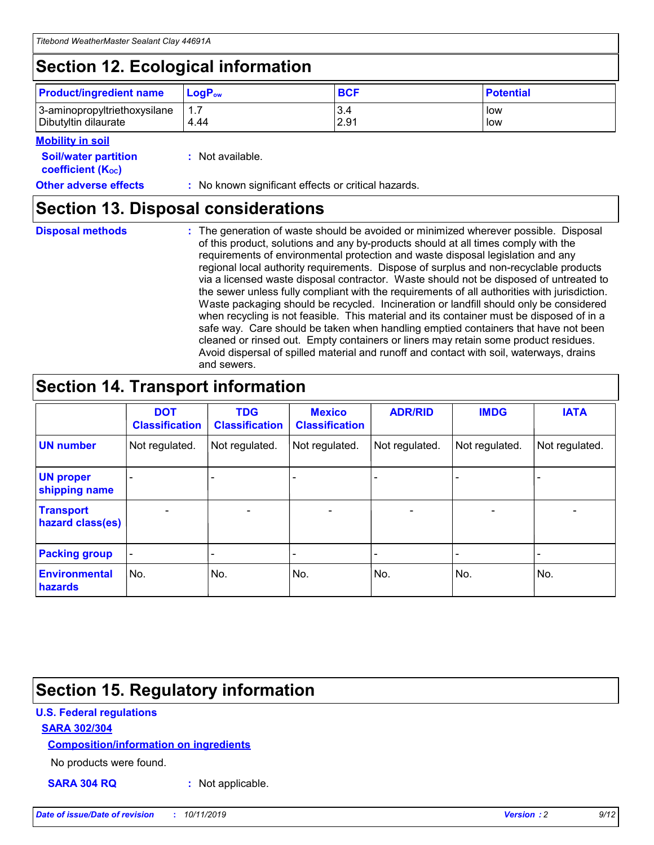## **Section 12. Ecological information**

| <b>Product/ingredient name</b>                       | ∣LoqP <sub>ow</sub> | <b>BCF</b>  | <b>Potential</b> |
|------------------------------------------------------|---------------------|-------------|------------------|
| 3-aminopropyltriethoxysilane<br>Dibutyltin dilaurate | 4.44                | 3.4<br>2.91 | low<br>low       |

#### **Mobility in soil**

| <i></i>                                                       |                                                     |
|---------------------------------------------------------------|-----------------------------------------------------|
| <b>Soil/water partition</b><br>coefficient (K <sub>oc</sub> ) | : Not available.                                    |
| <b>Other adverse effects</b>                                  | : No known significant effects or critical hazards. |

### **Section 13. Disposal considerations**

**Disposal methods :**

The generation of waste should be avoided or minimized wherever possible. Disposal of this product, solutions and any by-products should at all times comply with the requirements of environmental protection and waste disposal legislation and any regional local authority requirements. Dispose of surplus and non-recyclable products via a licensed waste disposal contractor. Waste should not be disposed of untreated to the sewer unless fully compliant with the requirements of all authorities with jurisdiction. Waste packaging should be recycled. Incineration or landfill should only be considered when recycling is not feasible. This material and its container must be disposed of in a safe way. Care should be taken when handling emptied containers that have not been cleaned or rinsed out. Empty containers or liners may retain some product residues. Avoid dispersal of spilled material and runoff and contact with soil, waterways, drains and sewers.

## **Section 14. Transport information**

|                                      | <b>DOT</b><br><b>Classification</b> | <b>TDG</b><br><b>Classification</b> | <b>Mexico</b><br><b>Classification</b> | <b>ADR/RID</b>           | <b>IMDG</b>              | <b>IATA</b>    |
|--------------------------------------|-------------------------------------|-------------------------------------|----------------------------------------|--------------------------|--------------------------|----------------|
| <b>UN number</b>                     | Not regulated.                      | Not regulated.                      | Not regulated.                         | Not regulated.           | Not regulated.           | Not regulated. |
| <b>UN proper</b><br>shipping name    | $\blacksquare$                      |                                     |                                        |                          |                          |                |
| <b>Transport</b><br>hazard class(es) | $\blacksquare$                      | $\overline{\phantom{a}}$            | $\overline{\phantom{a}}$               | $\overline{\phantom{a}}$ | $\overline{\phantom{a}}$ | $\blacksquare$ |
| <b>Packing group</b>                 | $\overline{\phantom{a}}$            | -                                   | -                                      | -                        |                          | -              |
| <b>Environmental</b><br>hazards      | No.                                 | No.                                 | No.                                    | No.                      | No.                      | No.            |

## **Section 15. Regulatory information**

#### **U.S. Federal regulations**

#### **SARA 302/304**

#### **Composition/information on ingredients**

No products were found.

**SARA 304 RQ :** Not applicable.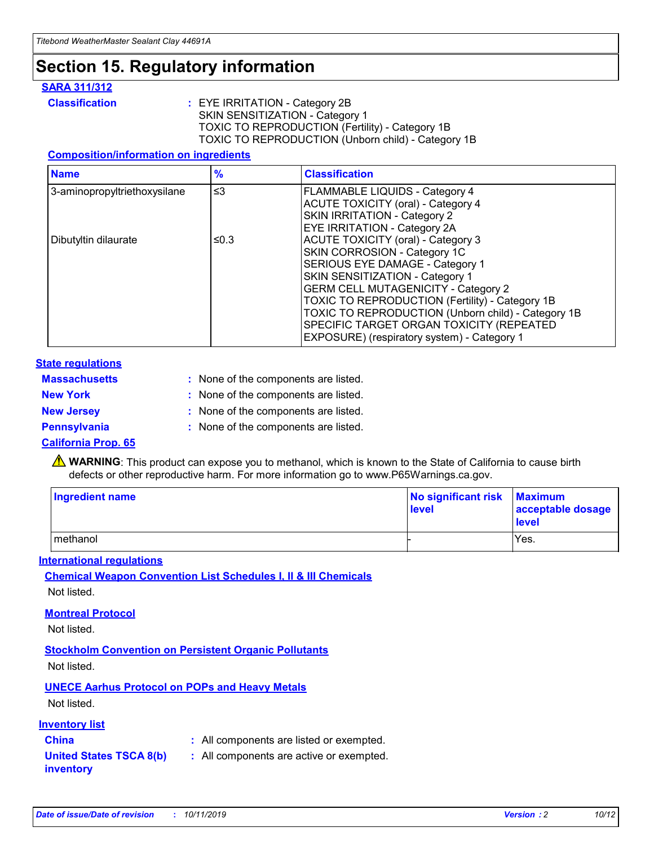## **Section 15. Regulatory information**

#### **SARA 311/312**

**Classification :** EYE IRRITATION - Category 2B SKIN SENSITIZATION - Category 1 TOXIC TO REPRODUCTION (Fertility) - Category 1B TOXIC TO REPRODUCTION (Unborn child) - Category 1B

#### **Composition/information on ingredients**

| <b>Name</b>                  | $\frac{9}{6}$ | <b>Classification</b>                                                                                            |
|------------------------------|---------------|------------------------------------------------------------------------------------------------------------------|
| 3-aminopropyltriethoxysilane | $\leq$ 3      | <b>FLAMMABLE LIQUIDS - Category 4</b><br><b>ACUTE TOXICITY (oral) - Category 4</b>                               |
|                              |               | SKIN IRRITATION - Category 2<br>EYE IRRITATION - Category 2A                                                     |
| Dibutyltin dilaurate         | ≤0.3          | ACUTE TOXICITY (oral) - Category 3<br>SKIN CORROSION - Category 1C                                               |
|                              |               | SERIOUS EYE DAMAGE - Category 1<br>SKIN SENSITIZATION - Category 1<br><b>GERM CELL MUTAGENICITY - Category 2</b> |
|                              |               | TOXIC TO REPRODUCTION (Fertility) - Category 1B<br>TOXIC TO REPRODUCTION (Unborn child) - Category 1B            |
|                              |               | SPECIFIC TARGET ORGAN TOXICITY (REPEATED<br>EXPOSURE) (respiratory system) - Category 1                          |

#### **State regulations**

| <b>Massachusetts</b> | : None of the components are listed. |
|----------------------|--------------------------------------|
| <b>New York</b>      | : None of the components are listed. |
| <b>New Jersey</b>    | : None of the components are listed. |
| Pennsylvania         | : None of the components are listed. |

#### **California Prop. 65**

**A** WARNING: This product can expose you to methanol, which is known to the State of California to cause birth defects or other reproductive harm. For more information go to www.P65Warnings.ca.gov.

| <b>Ingredient name</b> | No significant risk Maximum<br>level | acceptable dosage<br>level |
|------------------------|--------------------------------------|----------------------------|
| methanol               |                                      | Yes.                       |

#### **International regulations**

**Chemical Weapon Convention List Schedules I, II & III Chemicals** Not listed.

#### **Montreal Protocol**

Not listed.

**Stockholm Convention on Persistent Organic Pollutants**

Not listed.

### **UNECE Aarhus Protocol on POPs and Heavy Metals**

Not listed.

#### **Inventory list**

### **China :** All components are listed or exempted.

**United States TSCA 8(b) inventory :** All components are active or exempted.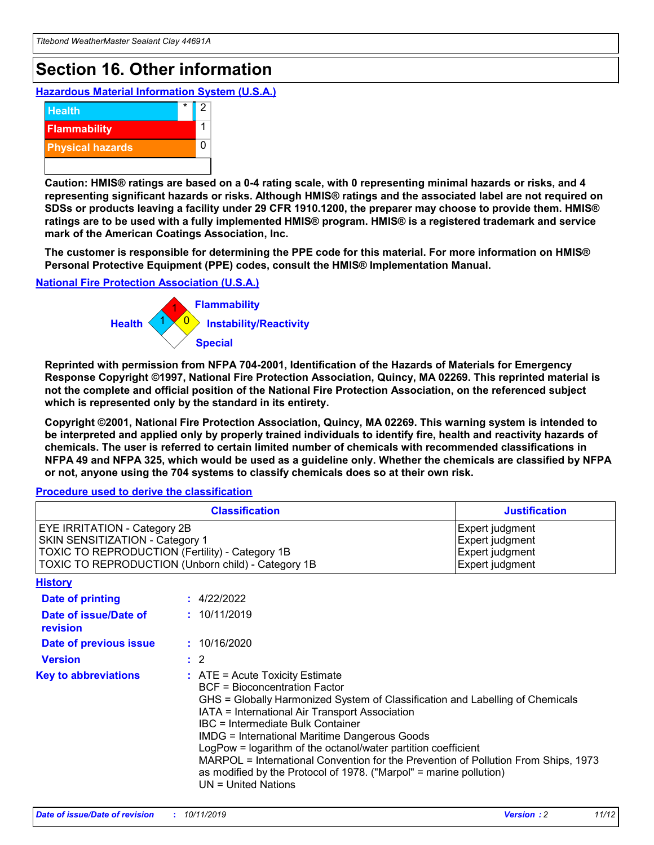## **Section 16. Other information**

**Hazardous Material Information System (U.S.A.)**



**Caution: HMIS® ratings are based on a 0-4 rating scale, with 0 representing minimal hazards or risks, and 4 representing significant hazards or risks. Although HMIS® ratings and the associated label are not required on SDSs or products leaving a facility under 29 CFR 1910.1200, the preparer may choose to provide them. HMIS® ratings are to be used with a fully implemented HMIS® program. HMIS® is a registered trademark and service mark of the American Coatings Association, Inc.**

**The customer is responsible for determining the PPE code for this material. For more information on HMIS® Personal Protective Equipment (PPE) codes, consult the HMIS® Implementation Manual.**

#### **National Fire Protection Association (U.S.A.)**



**Reprinted with permission from NFPA 704-2001, Identification of the Hazards of Materials for Emergency Response Copyright ©1997, National Fire Protection Association, Quincy, MA 02269. This reprinted material is not the complete and official position of the National Fire Protection Association, on the referenced subject which is represented only by the standard in its entirety.**

**Copyright ©2001, National Fire Protection Association, Quincy, MA 02269. This warning system is intended to be interpreted and applied only by properly trained individuals to identify fire, health and reactivity hazards of chemicals. The user is referred to certain limited number of chemicals with recommended classifications in NFPA 49 and NFPA 325, which would be used as a guideline only. Whether the chemicals are classified by NFPA or not, anyone using the 704 systems to classify chemicals does so at their own risk.**

#### **Procedure used to derive the classification**

| <b>Classification</b>                                                                                                                                                                  |                                                                                                                                                                                                                                                                   | <b>Justification</b>                                                                                                                                                                                                                                                                                       |  |
|----------------------------------------------------------------------------------------------------------------------------------------------------------------------------------------|-------------------------------------------------------------------------------------------------------------------------------------------------------------------------------------------------------------------------------------------------------------------|------------------------------------------------------------------------------------------------------------------------------------------------------------------------------------------------------------------------------------------------------------------------------------------------------------|--|
| <b>EYE IRRITATION - Category 2B</b><br>SKIN SENSITIZATION - Category 1<br><b>TOXIC TO REPRODUCTION (Fertility) - Category 1B</b><br>TOXIC TO REPRODUCTION (Unborn child) - Category 1B |                                                                                                                                                                                                                                                                   | Expert judgment<br>Expert judgment<br>Expert judgment<br>Expert judgment                                                                                                                                                                                                                                   |  |
| <b>History</b>                                                                                                                                                                         |                                                                                                                                                                                                                                                                   |                                                                                                                                                                                                                                                                                                            |  |
| <b>Date of printing</b>                                                                                                                                                                | : 4/22/2022                                                                                                                                                                                                                                                       |                                                                                                                                                                                                                                                                                                            |  |
| Date of issue/Date of<br>revision                                                                                                                                                      | : 10/11/2019                                                                                                                                                                                                                                                      |                                                                                                                                                                                                                                                                                                            |  |
| Date of previous issue                                                                                                                                                                 | : 10/16/2020                                                                                                                                                                                                                                                      |                                                                                                                                                                                                                                                                                                            |  |
| <b>Version</b>                                                                                                                                                                         | $\therefore$ 2                                                                                                                                                                                                                                                    |                                                                                                                                                                                                                                                                                                            |  |
| <b>Key to abbreviations</b>                                                                                                                                                            | $\therefore$ ATE = Acute Toxicity Estimate<br><b>BCF</b> = Bioconcentration Factor<br>IATA = International Air Transport Association<br><b>IBC</b> = Intermediate Bulk Container<br><b>IMDG = International Maritime Dangerous Goods</b><br>$UN = United Nations$ | GHS = Globally Harmonized System of Classification and Labelling of Chemicals<br>LogPow = logarithm of the octanol/water partition coefficient<br>MARPOL = International Convention for the Prevention of Pollution From Ships, 1973<br>as modified by the Protocol of 1978. ("Marpol" = marine pollution) |  |